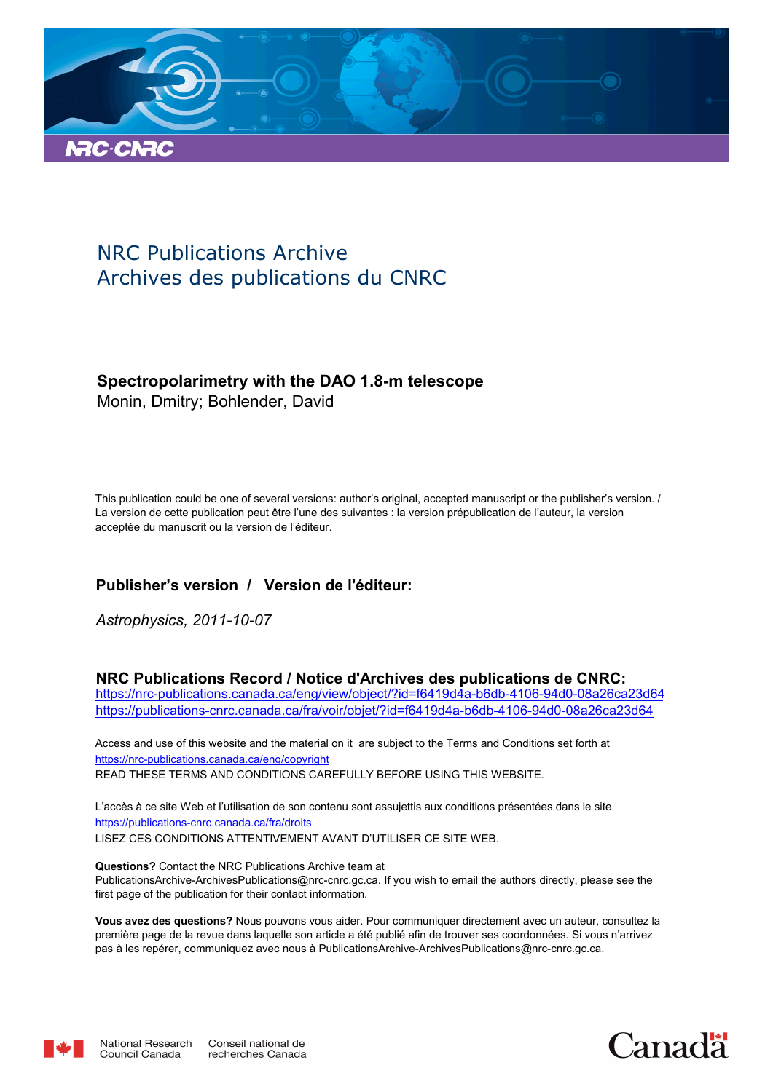

# NRC Publications Archive Archives des publications du CNRC

### **Spectropolarimetry with the DAO 1.8-m telescope**

Monin, Dmitry; Bohlender, David

This publication could be one of several versions: author's original, accepted manuscript or the publisher's version. / La version de cette publication peut être l'une des suivantes : la version prépublication de l'auteur, la version acceptée du manuscrit ou la version de l'éditeur.

### **Publisher's version / Version de l'éditeur:**

*Astrophysics, 2011-10-07*

### **NRC Publications Record / Notice d'Archives des publications de CNRC:**

https://nrc-publications.canada.ca/eng/view/object/?id=f6419d4a-b6db-4106-94d0-08a26ca23d64 https://publications-cnrc.canada.ca/fra/voir/objet/?id=f6419d4a-b6db-4106-94d0-08a26ca23d64

READ THESE TERMS AND CONDITIONS CAREFULLY BEFORE USING THIS WEBSITE. https://nrc-publications.canada.ca/eng/copyright Access and use of this website and the material on it are subject to the Terms and Conditions set forth at

https://publications-cnrc.canada.ca/fra/droits L'accès à ce site Web et l'utilisation de son contenu sont assujettis aux conditions présentées dans le site LISEZ CES CONDITIONS ATTENTIVEMENT AVANT D'UTILISER CE SITE WEB.

**Questions?** Contact the NRC Publications Archive team at PublicationsArchive-ArchivesPublications@nrc-cnrc.gc.ca. If you wish to email the authors directly, please see the first page of the publication for their contact information.

**Vous avez des questions?** Nous pouvons vous aider. Pour communiquer directement avec un auteur, consultez la première page de la revue dans laquelle son article a été publié afin de trouver ses coordonnées. Si vous n'arrivez pas à les repérer, communiquez avec nous à PublicationsArchive-ArchivesPublications@nrc-cnrc.gc.ca.



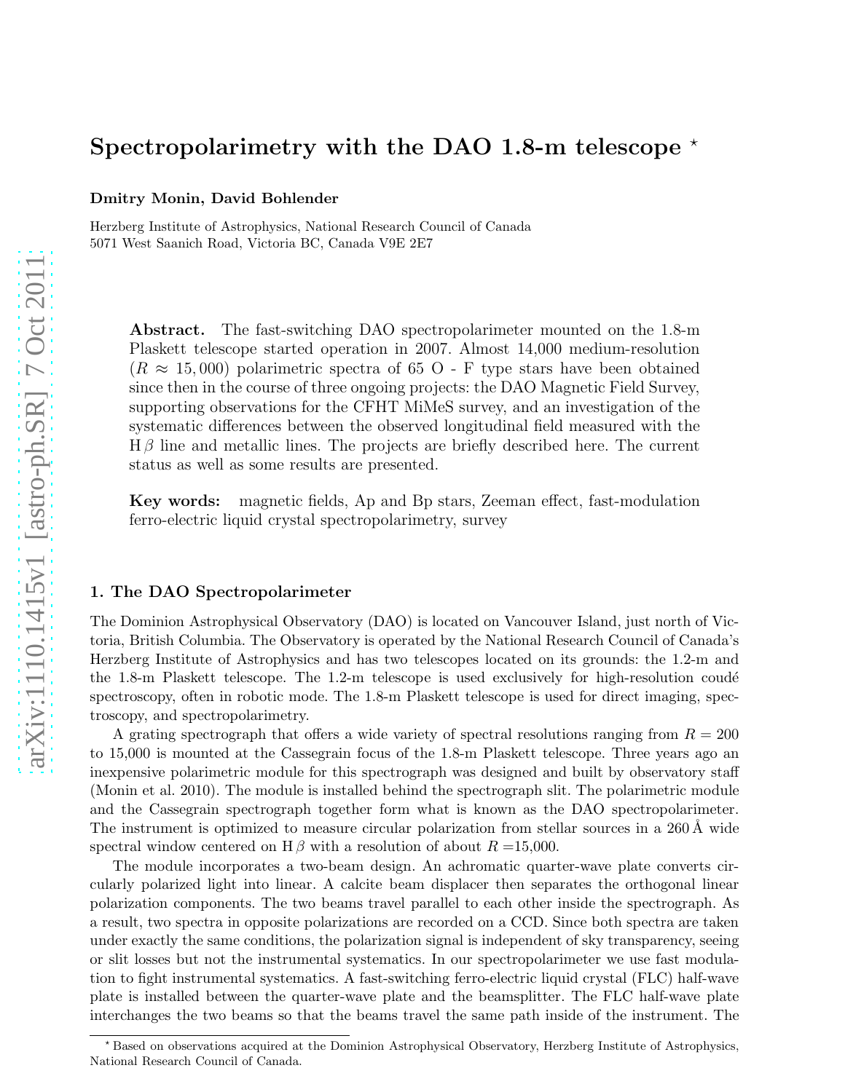## Spectropolarimetry with the DAO 1.8-m telescope  $\star$

Dmitry Monin, David Bohlender

Herzberg Institute of Astrophysics, National Research Council of Canada 5071 West Saanich Road, Victoria BC, Canada V9E 2E7

Abstract. The fast-switching DAO spectropolarimeter mounted on the 1.8-m Plaskett telescope started operation in 2007. Almost 14,000 medium-resolution  $(R \approx 15,000)$  polarimetric spectra of 65 O - F type stars have been obtained since then in the course of three ongoing projects: the DAO Magnetic Field Survey, supporting observations for the CFHT MiMeS survey, and an investigation of the systematic differences between the observed longitudinal field measured with the  $H\beta$  line and metallic lines. The projects are briefly described here. The current status as well as some results are presented.

Key words: magnetic fields, Ap and Bp stars, Zeeman effect, fast-modulation ferro-electric liquid crystal spectropolarimetry, survey

### 1. The DAO Spectropolarimeter

The Dominion Astrophysical Observatory (DAO) is located on Vancouver Island, just north of Victoria, British Columbia. The Observatory is operated by the National Research Council of Canada's Herzberg Institute of Astrophysics and has two telescopes located on its grounds: the 1.2-m and the 1.8-m Plaskett telescope. The 1.2-m telescope is used exclusively for high-resolution coudé spectroscopy, often in robotic mode. The 1.8-m Plaskett telescope is used for direct imaging, spectroscopy, and spectropolarimetry.

A grating spectrograph that offers a wide variety of spectral resolutions ranging from  $R = 200$ to 15,000 is mounted at the Cassegrain focus of the 1.8-m Plaskett telescope. Three years ago an inexpensive polarimetric module for this spectrograph was designed and built by observatory staff (Monin et al. 2010). The module is installed behind the spectrograph slit. The polarimetric module and the Cassegrain spectrograph together form what is known as the DAO spectropolarimeter. The instrument is optimized to measure circular polarization from stellar sources in a  $260 \text{\AA}$  wide spectral window centered on H $\beta$  with a resolution of about  $R = 15,000$ .

The module incorporates a two-beam design. An achromatic quarter-wave plate converts circularly polarized light into linear. A calcite beam displacer then separates the orthogonal linear polarization components. The two beams travel parallel to each other inside the spectrograph. As a result, two spectra in opposite polarizations are recorded on a CCD. Since both spectra are taken under exactly the same conditions, the polarization signal is independent of sky transparency, seeing or slit losses but not the instrumental systematics. In our spectropolarimeter we use fast modulation to fight instrumental systematics. A fast-switching ferro-electric liquid crystal (FLC) half-wave plate is installed between the quarter-wave plate and the beamsplitter. The FLC half-wave plate interchanges the two beams so that the beams travel the same path inside of the instrument. The

<sup>⋆</sup> Based on observations acquired at the Dominion Astrophysical Observatory, Herzberg Institute of Astrophysics, National Research Council of Canada.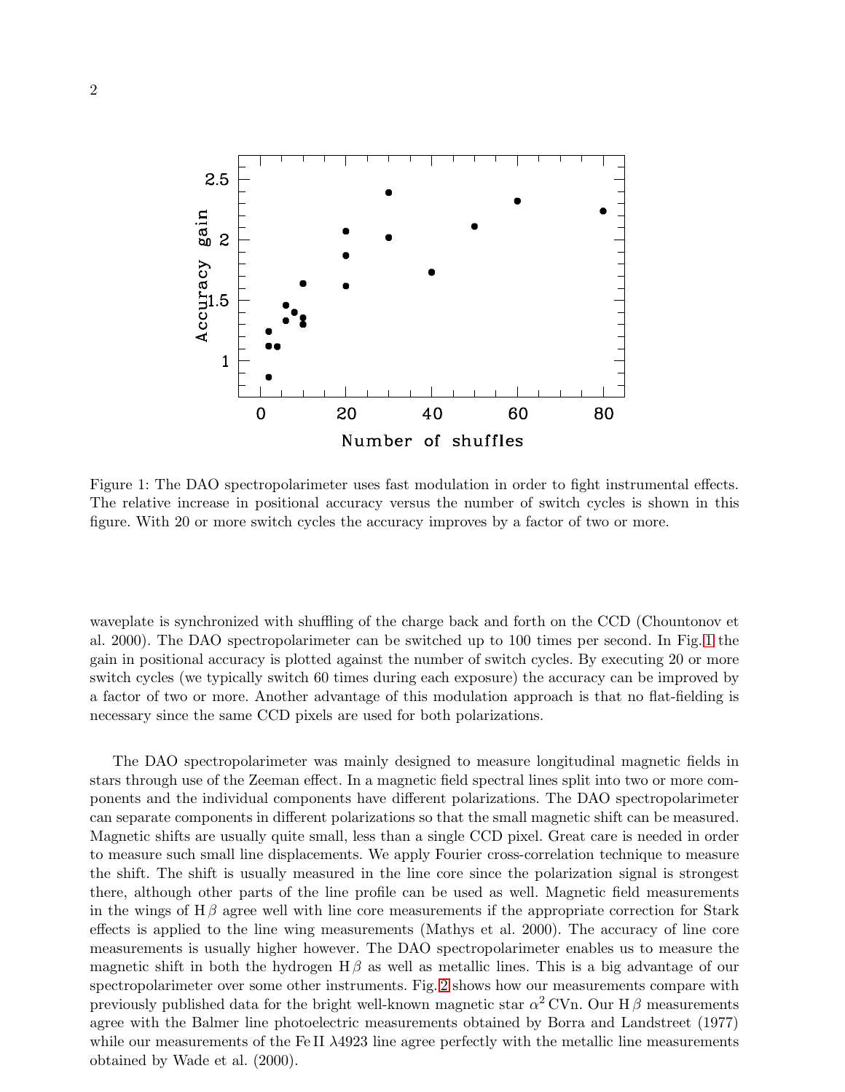

<span id="page-2-0"></span>Figure 1: The DAO spectropolarimeter uses fast modulation in order to fight instrumental effects. The relative increase in positional accuracy versus the number of switch cycles is shown in this figure. With 20 or more switch cycles the accuracy improves by a factor of two or more.

waveplate is synchronized with shuffling of the charge back and forth on the CCD (Chountonov et al. 2000). The DAO spectropolarimeter can be switched up to 100 times per second. In Fig. [1](#page-2-0) the gain in positional accuracy is plotted against the number of switch cycles. By executing 20 or more switch cycles (we typically switch 60 times during each exposure) the accuracy can be improved by a factor of two or more. Another advantage of this modulation approach is that no flat-fielding is necessary since the same CCD pixels are used for both polarizations.

The DAO spectropolarimeter was mainly designed to measure longitudinal magnetic fields in stars through use of the Zeeman effect. In a magnetic field spectral lines split into two or more components and the individual components have different polarizations. The DAO spectropolarimeter can separate components in different polarizations so that the small magnetic shift can be measured. Magnetic shifts are usually quite small, less than a single CCD pixel. Great care is needed in order to measure such small line displacements. We apply Fourier cross-correlation technique to measure the shift. The shift is usually measured in the line core since the polarization signal is strongest there, although other parts of the line profile can be used as well. Magnetic field measurements in the wings of  $H\beta$  agree well with line core measurements if the appropriate correction for Stark effects is applied to the line wing measurements (Mathys et al. 2000). The accuracy of line core measurements is usually higher however. The DAO spectropolarimeter enables us to measure the magnetic shift in both the hydrogen  $H\beta$  as well as metallic lines. This is a big advantage of our spectropolarimeter over some other instruments. Fig. [2](#page-3-0) shows how our measurements compare with previously published data for the bright well-known magnetic star  $\alpha^2$  CVn. Our H $\beta$  measurements agree with the Balmer line photoelectric measurements obtained by Borra and Landstreet (1977) while our measurements of the Fe II  $\lambda$ 4923 line agree perfectly with the metallic line measurements obtained by Wade et al. (2000).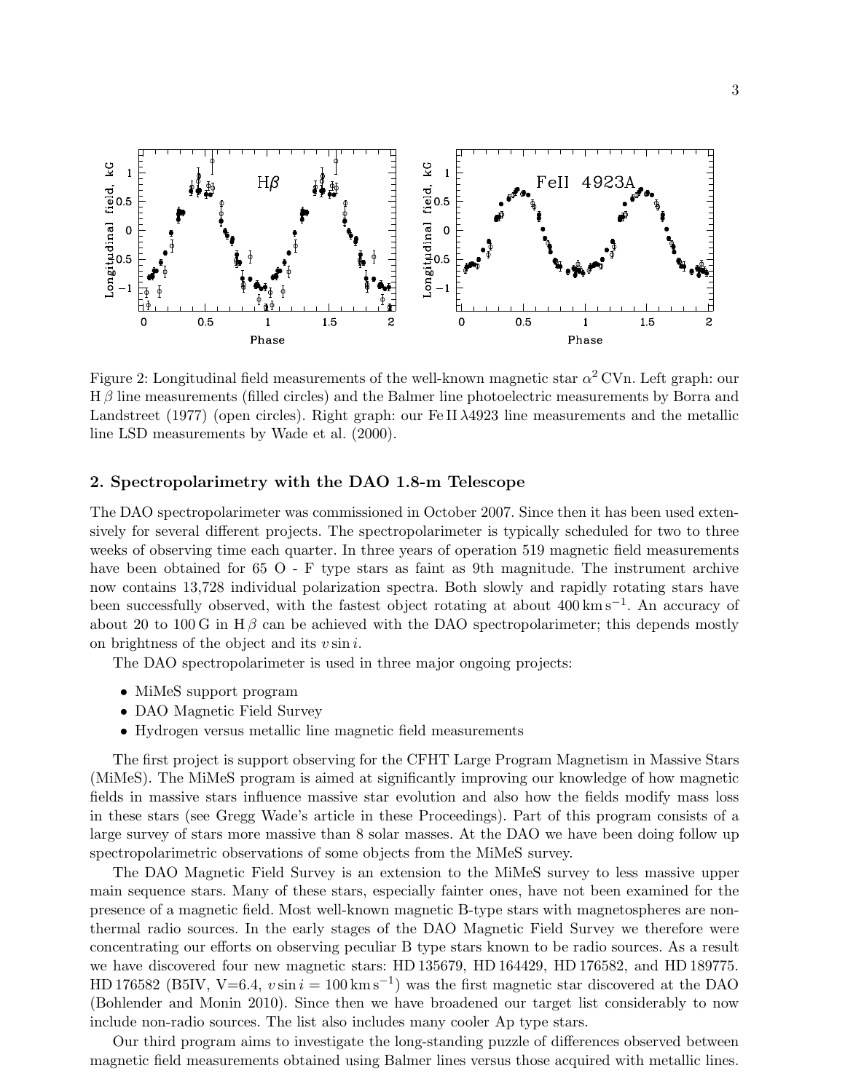

<span id="page-3-0"></span>Figure 2: Longitudinal field measurements of the well-known magnetic star  $\alpha^2$  CVn. Left graph: our  $H\beta$  line measurements (filled circles) and the Balmer line photoelectric measurements by Borra and Landstreet (1977) (open circles). Right graph: our Fe II  $\lambda$ 4923 line measurements and the metallic line LSD measurements by Wade et al. (2000).

#### 2. Spectropolarimetry with the DAO 1.8-m Telescope

The DAO spectropolarimeter was commissioned in October 2007. Since then it has been used extensively for several different projects. The spectropolarimeter is typically scheduled for two to three weeks of observing time each quarter. In three years of operation 519 magnetic field measurements have been obtained for 65 O - F type stars as faint as 9th magnitude. The instrument archive now contains 13,728 individual polarization spectra. Both slowly and rapidly rotating stars have been successfully observed, with the fastest object rotating at about 400 km s−<sup>1</sup> . An accuracy of about 20 to 100 G in H $\beta$  can be achieved with the DAO spectropolarimeter; this depends mostly on brightness of the object and its  $v \sin i$ .

The DAO spectropolarimeter is used in three major ongoing projects:

- MiMeS support program
- DAO Magnetic Field Survey
- Hydrogen versus metallic line magnetic field measurements

The first project is support observing for the CFHT Large Program Magnetism in Massive Stars (MiMeS). The MiMeS program is aimed at significantly improving our knowledge of how magnetic fields in massive stars influence massive star evolution and also how the fields modify mass loss in these stars (see Gregg Wade's article in these Proceedings). Part of this program consists of a large survey of stars more massive than 8 solar masses. At the DAO we have been doing follow up spectropolarimetric observations of some objects from the MiMeS survey.

The DAO Magnetic Field Survey is an extension to the MiMeS survey to less massive upper main sequence stars. Many of these stars, especially fainter ones, have not been examined for the presence of a magnetic field. Most well-known magnetic B-type stars with magnetospheres are nonthermal radio sources. In the early stages of the DAO Magnetic Field Survey we therefore were concentrating our efforts on observing peculiar B type stars known to be radio sources. As a result we have discovered four new magnetic stars: HD 135679, HD 164429, HD 176582, and HD 189775. HD 176582 (B5IV, V=6.4,  $v \sin i = 100 \,\mathrm{km\,s^{-1}}$ ) was the first magnetic star discovered at the DAO (Bohlender and Monin 2010). Since then we have broadened our target list considerably to now include non-radio sources. The list also includes many cooler Ap type stars.

Our third program aims to investigate the long-standing puzzle of differences observed between magnetic field measurements obtained using Balmer lines versus those acquired with metallic lines.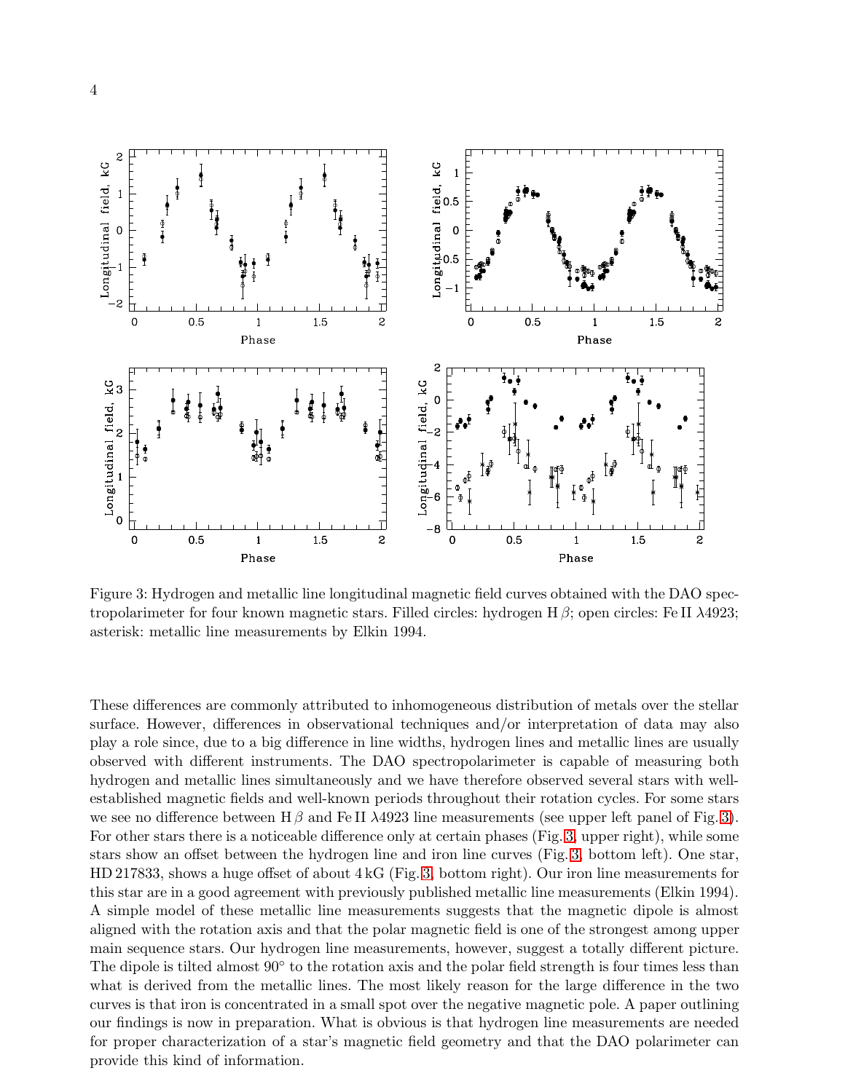

<span id="page-4-0"></span>Figure 3: Hydrogen and metallic line longitudinal magnetic field curves obtained with the DAO spectropolarimeter for four known magnetic stars. Filled circles: hydrogen  $H\beta$ ; open circles: Fe II  $\lambda$ 4923; asterisk: metallic line measurements by Elkin 1994.

These differences are commonly attributed to inhomogeneous distribution of metals over the stellar surface. However, differences in observational techniques and/or interpretation of data may also play a role since, due to a big difference in line widths, hydrogen lines and metallic lines are usually observed with different instruments. The DAO spectropolarimeter is capable of measuring both hydrogen and metallic lines simultaneously and we have therefore observed several stars with wellestablished magnetic fields and well-known periods throughout their rotation cycles. For some stars we see no difference between  $H\beta$  and Fe II  $\lambda$ 4923 line measurements (see upper left panel of Fig. [3\)](#page-4-0). For other stars there is a noticeable difference only at certain phases (Fig. [3,](#page-4-0) upper right), while some stars show an offset between the hydrogen line and iron line curves (Fig. [3,](#page-4-0) bottom left). One star, HD 217833, shows a huge offset of about 4 kG (Fig. [3,](#page-4-0) bottom right). Our iron line measurements for this star are in a good agreement with previously published metallic line measurements (Elkin 1994). A simple model of these metallic line measurements suggests that the magnetic dipole is almost aligned with the rotation axis and that the polar magnetic field is one of the strongest among upper main sequence stars. Our hydrogen line measurements, however, suggest a totally different picture. The dipole is tilted almost 90° to the rotation axis and the polar field strength is four times less than what is derived from the metallic lines. The most likely reason for the large difference in the two curves is that iron is concentrated in a small spot over the negative magnetic pole. A paper outlining our findings is now in preparation. What is obvious is that hydrogen line measurements are needed for proper characterization of a star's magnetic field geometry and that the DAO polarimeter can provide this kind of information.